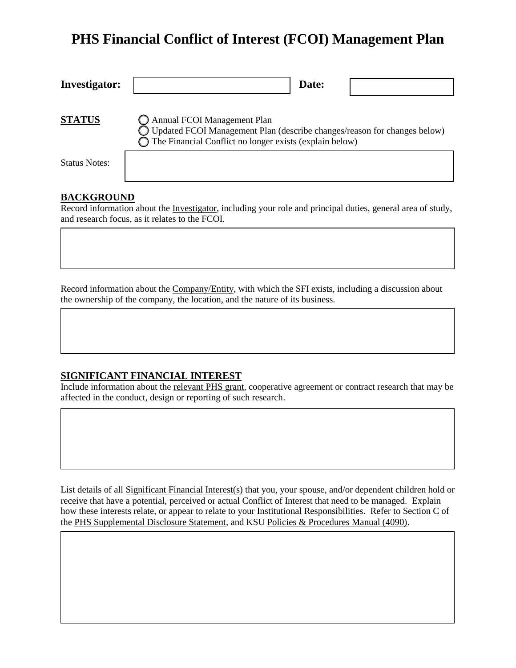# **PHS Financial Conflict of Interest (FCOI) Management Plan**

| <b>Investigator:</b> | Date:                                                                                                                                                                        |
|----------------------|------------------------------------------------------------------------------------------------------------------------------------------------------------------------------|
| <b>STATUS</b>        | Annual FCOI Management Plan<br>Updated FCOI Management Plan (describe changes/reason for changes below)<br>$\bigcap$ The Financial Conflict no longer exists (explain below) |
| <b>Status Notes:</b> |                                                                                                                                                                              |

#### **BACKGROUND**

Record information about the Investigator, including your role and principal duties, general area of study, and research focus, as it relates to the FCOI.

Record information about the Company/Entity, with which the SFI exists, including a discussion about the ownership of the company, the location, and the nature of its business.

#### **SIGNIFICANT FINANCIAL INTEREST**

Include information about the relevant PHS grant, cooperative agreement or contract research that may be affected in the conduct, design or reporting of such research.

List details of all Significant Financial Interest(s) that you, your spouse, and/or dependent children hold or receive that have a potential, perceived or actual Conflict of Interest that need to be managed. Explain how these interests relate, or appear to relate to your Institutional Responsibilities. Refer to Section C of the [PHS Supplemental Disclosure Statement,](https://www.k-state.edu/conflict/forms/phs.html) and KSU [Policies & Procedures Manual \(4090\).](https://www.k-state.edu/policies/ppm/4000/PPM-4090.pdf)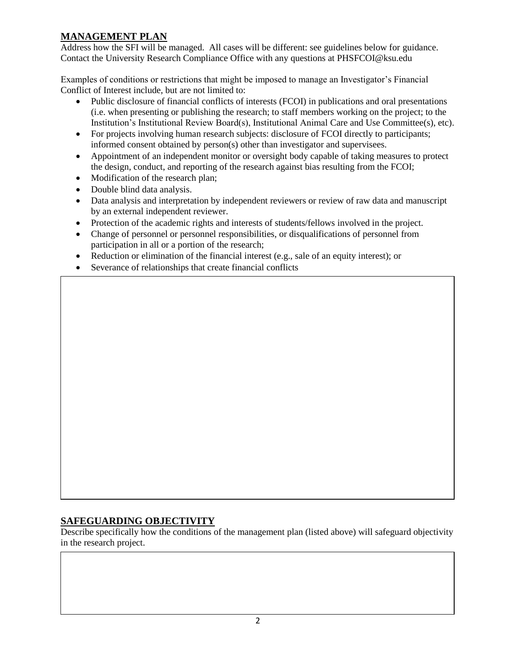## **MANAGEMENT PLAN**

Address how the SFI will be managed. All cases will be different: see guidelines below for guidance. Contact the University Research Compliance Office with any questions at PHSFCOI@ksu.edu

Examples of conditions or restrictions that might be imposed to manage an Investigator's Financial Conflict of Interest include, but are not limited to:

- Public disclosure of financial conflicts of interests (FCOI) in publications and oral presentations (i.e. when presenting or publishing the research; to staff members working on the project; to the Institution's Institutional Review Board(s), Institutional Animal Care and Use Committee(s), etc).
- For projects involving human research subjects: disclosure of FCOI directly to participants; informed consent obtained by person(s) other than investigator and supervisees.
- Appointment of an independent monitor or oversight body capable of taking measures to protect the design, conduct, and reporting of the research against bias resulting from the FCOI;
- Modification of the research plan;
- Double blind data analysis.
- Data analysis and interpretation by independent reviewers or review of raw data and manuscript by an external independent reviewer.
- Protection of the academic rights and interests of students/fellows involved in the project.
- Change of personnel or personnel responsibilities, or disqualifications of personnel from participation in all or a portion of the research;
- Reduction or elimination of the financial interest (e.g., sale of an equity interest); or
- Severance of relationships that create financial conflicts

## **SAFEGUARDING OBJECTIVITY**

Describe specifically how the conditions of the management plan (listed above) will safeguard objectivity in the research project.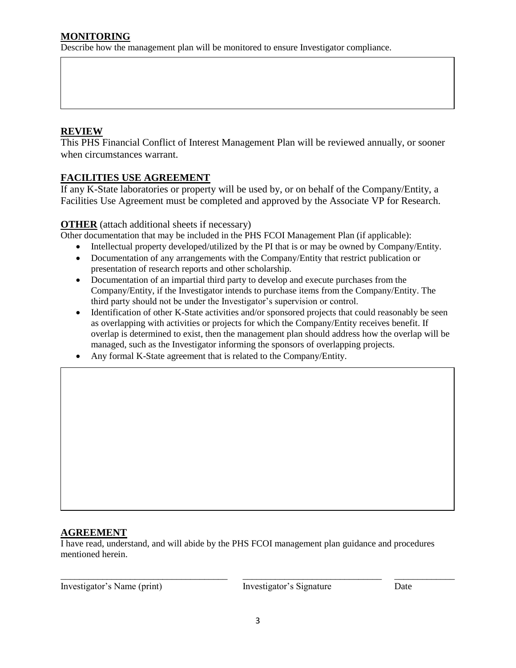## **REVIEW**

This PHS Financial Conflict of Interest Management Plan will be reviewed annually, or sooner when circumstances warrant.

## **FACILITIES USE AGREEMENT**

If any K-State laboratories or property will be used by, or on behalf of the Company/Entity, a Facilities Use Agreement must be completed and approved by the Associate VP for Research.

#### **OTHER** (attach additional sheets if necessary)

Other documentation that may be included in the PHS FCOI Management Plan (if applicable):

- Intellectual property developed/utilized by the PI that is or may be owned by Company/Entity.
- Documentation of any arrangements with the Company/Entity that restrict publication or presentation of research reports and other scholarship.
- Documentation of an impartial third party to develop and execute purchases from the Company/Entity, if the Investigator intends to purchase items from the Company/Entity. The third party should not be under the Investigator's supervision or control.
- Identification of other K-State activities and/or sponsored projects that could reasonably be seen as overlapping with activities or projects for which the Company/Entity receives benefit. If overlap is determined to exist, then the management plan should address how the overlap will be managed, such as the Investigator informing the sponsors of overlapping projects.
- Any formal K-State agreement that is related to the Company/Entity.

#### **AGREEMENT**

I have read, understand, and will abide by the PHS FCOI management plan guidance and procedures mentioned herein.

Investigator's Name (print) Investigator's Signature Date

\_\_\_\_\_\_\_\_\_\_\_\_\_\_\_\_\_\_\_\_\_\_\_\_\_\_\_\_\_\_\_\_\_\_\_\_ \_\_\_\_\_\_\_\_\_\_\_\_\_\_\_\_\_\_\_\_\_\_\_\_\_\_\_\_\_\_ \_\_\_\_\_\_\_\_\_\_\_\_\_